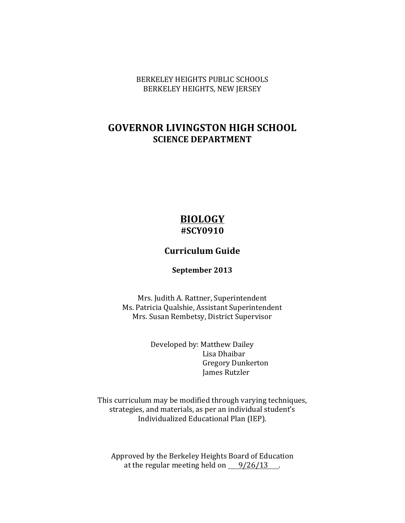BERKELEY HEIGHTS PUBLIC SCHOOLS BERKELEY HEIGHTS, NEW JERSEY

## **GOVERNOR LIVINGSTON HIGH SCHOOL SCIENCE DEPARTMENT**

## **BIOLOGY #SCY0910**

### **Curriculum Guide**

#### **September 2013**

Mrs. Judith A. Rattner, Superintendent Ms. Patricia Qualshie, Assistant Superintendent Mrs. Susan Rembetsy, District Supervisor

> Developed by: Matthew Dailey Lisa Dhaibar Gregory Dunkerton James Rutzler

This curriculum may be modified through varying techniques, strategies, and materials, as per an individual student's Individualized Educational Plan (IEP).

Approved by the Berkeley Heights Board of Education at the regular meeting held on  $9/26/13$ .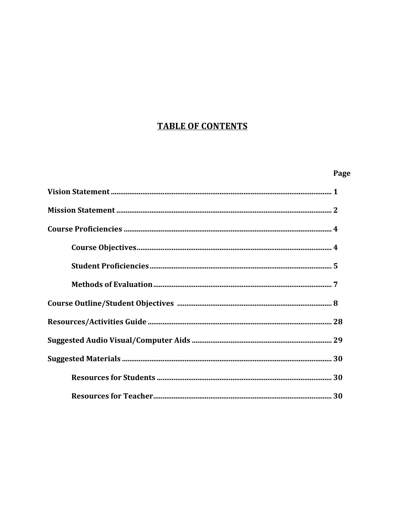# **TABLE OF CONTENTS**

#### Page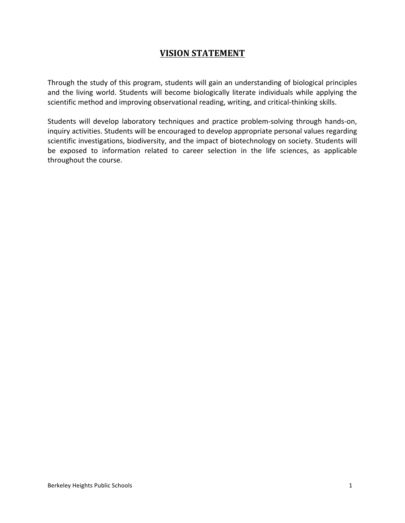### **VISION STATEMENT**

Through the study of this program, students will gain an understanding of biological principles and the living world. Students will become biologically literate individuals while applying the scientific method and improving observational reading, writing, and critical-thinking skills.

Students will develop laboratory techniques and practice problem-solving through hands-on, inquiry activities. Students will be encouraged to develop appropriate personal values regarding scientific investigations, biodiversity, and the impact of biotechnology on society. Students will be exposed to information related to career selection in the life sciences, as applicable throughout the course.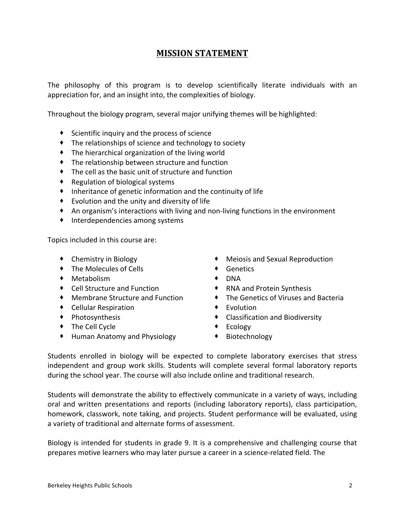### **MISSION STATEMENT**

The philosophy of this program is to develop scientifically literate individuals with an appreciation for, and an insight into, the complexities of biology.

Throughout the biology program, several major unifying themes will be highlighted:

- $\bullet$  Scientific inquiry and the process of science
- The relationships of science and technology to society
- The hierarchical organization of the living world
- $\bullet$  The relationship between structure and function
- $\bullet$  The cell as the basic unit of structure and function
- Regulation of biological systems
- $\bullet$  Inheritance of genetic information and the continuity of life
- $\bullet$  Evolution and the unity and diversity of life
- $\bullet$  An organism's interactions with living and non-living functions in the environment
- $\bullet$  Interdependencies among systems

Topics included in this course are:

- 
- The Molecules of Cells Genetics
- Metabolism DNA
- Cell Structure and Function RNA and Protein Synthesis
- 
- Cellular Respiration Evolution
- 
- The Cell Cycle Ecology
- Human Anatomy and Physiology Biotechnology
- Chemistry in Biology  $\bullet$  Meiosis and Sexual Reproduction
	-
	-
	-
- Membrane Structure and Function The Genetics of Viruses and Bacteria
	-
- Photosynthesis Classification and Biodiversity
	-
	-

Students enrolled in biology will be expected to complete laboratory exercises that stress independent and group work skills. Students will complete several formal laboratory reports during the school year. The course will also include online and traditional research.

Students will demonstrate the ability to effectively communicate in a variety of ways, including oral and written presentations and reports (including laboratory reports), class participation, homework, classwork, note taking, and projects. Student performance will be evaluated, using a variety of traditional and alternate forms of assessment.

Biology is intended for students in grade 9. It is a comprehensive and challenging course that prepares motive learners who may later pursue a career in a science-related field. The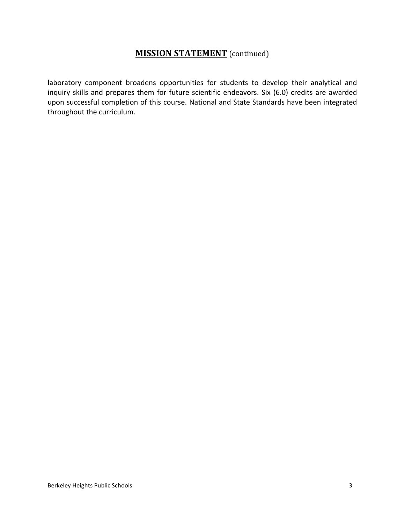#### **MISSION STATEMENT** (continued)

laboratory component broadens opportunities for students to develop their analytical and inquiry skills and prepares them for future scientific endeavors. Six (6.0) credits are awarded upon successful completion of this course. National and State Standards have been integrated throughout the curriculum.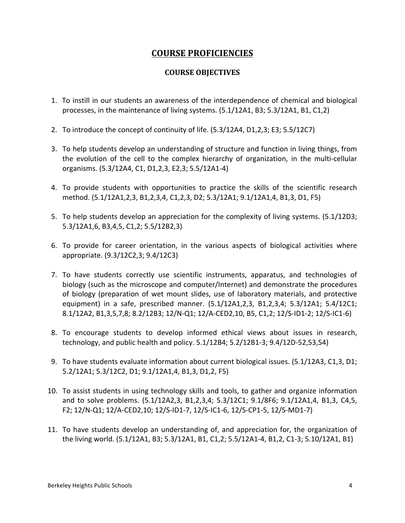### **COURSE PROFICIENCIES**

#### **COURSE OBJECTIVES**

- 1. To instill in our students an awareness of the interdependence of chemical and biological processes, in the maintenance of living systems. (5.1/12A1, B3; 5.3/12A1, B1, C1,2)
- 2. To introduce the concept of continuity of life.  $(5.3/12A4, D1,2,3; E3; 5.5/12C7)$
- 3. To help students develop an understanding of structure and function in living things, from the evolution of the cell to the complex hierarchy of organization, in the multi-cellular organisms. (5.3/12A4, C1, D1,2,3, E2,3; 5.5/12A1-4)
- 4. To provide students with opportunities to practice the skills of the scientific research method. (5.1/12A1,2,3, B1,2,3,4, C1,2,3, D2; 5.3/12A1; 9.1/12A1,4, B1,3, D1, F5)
- 5. To help students develop an appreciation for the complexity of living systems. (5.1/12D3; 5.3/12A1,6, B3,4,5, C1,2; 5.5/12B2,3)
- 6. To provide for career orientation, in the various aspects of biological activities where appropriate. (9.3/12C2,3; 9.4/12C3)
- 7. To have students correctly use scientific instruments, apparatus, and technologies of biology (such as the microscope and computer/Internet) and demonstrate the procedures of biology (preparation of wet mount slides, use of laboratory materials, and protective equipment) in a safe, prescribed manner.  $(5.1/12A1,2,3, B1,2,3,4; 5.3/12A1; 5.4/12C1;$ 8.1/12A2, B1,3,5,7,8; 8.2/12B3; 12/N-Q1; 12/A-CED2,10, B5, C1,2; 12/S-ID1-2; 12/S-IC1-6)
- 8. To encourage students to develop informed ethical views about issues in research, technology, and public health and policy.  $5.1/12B4$ ;  $5.2/12B1-3$ ;  $9.4/12D-52,53,54$ )
- 9. To have students evaluate information about current biological issues. (5.1/12A3, C1,3, D1; 5.2/12A1; 5.3/12C2, D1; 9.1/12A1,4, B1,3, D1,2, F5)
- 10. To assist students in using technology skills and tools, to gather and organize information and to solve problems. (5.1/12A2,3, B1,2,3,4; 5.3/12C1; 9.1/8F6; 9.1/12A1,4, B1,3, C4,5, F2; 12/N-Q1; 12/A-CED2,10; 12/S-ID1-7, 12/S-IC1-6, 12/S-CP1-5, 12/S-MD1-7)
- 11. To have students develop an understanding of, and appreciation for, the organization of the living world. (5.1/12A1, B3; 5.3/12A1, B1, C1,2; 5.5/12A1-4, B1,2, C1-3; 5.10/12A1, B1)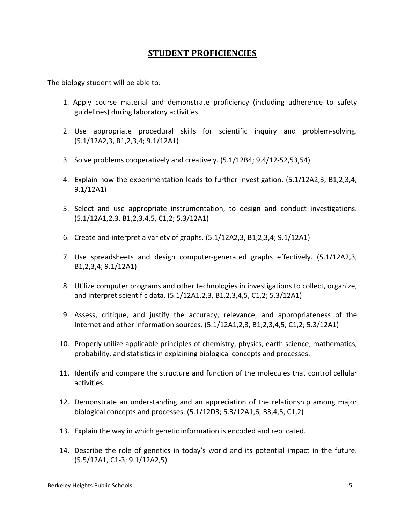#### **STUDENT PROFICIENCIES**

The biology student will be able to:

- 1. Apply course material and demonstrate proficiency (including adherence to safety guidelines) during laboratory activities.
- 2. Use appropriate procedural skills for scientific inquiry and problem-solving. (5.1/12A2,3, B1,2,3,4; 9.1/12A1)
- 3. Solve problems cooperatively and creatively. (5.1/12B4; 9.4/12-52,53,54)
- 4. Explain how the experimentation leads to further investigation. (5.1/12A2,3, B1,2,3,4; 9.1/12A1)
- 5. Select and use appropriate instrumentation, to design and conduct investigations.  $(5.1/12A1, 2, 3, B1, 2, 3, 4, 5, C1, 2; 5.3/12A1)$
- 6. Create and interpret a variety of graphs. (5.1/12A2,3, B1,2,3,4; 9.1/12A1)
- 7. Use spreadsheets and design computer-generated graphs effectively. (5.1/12A2,3, B<sub>1</sub>, 2, 3, 4; 9.1/12A<sub>1</sub>)
- 8. Utilize computer programs and other technologies in investigations to collect, organize, and interpret scientific data. (5.1/12A1,2,3, B1,2,3,4,5, C1,2; 5.3/12A1)
- 9. Assess, critique, and justify the accuracy, relevance, and appropriateness of the Internet and other information sources.  $(5.1/12A1,2,3, B1,2,3,4,5, C1,2; 5.3/12A1)$
- 10. Properly utilize applicable principles of chemistry, physics, earth science, mathematics, probability, and statistics in explaining biological concepts and processes.
- 11. Identify and compare the structure and function of the molecules that control cellular activities.
- 12. Demonstrate an understanding and an appreciation of the relationship among major biological concepts and processes.  $(5.1/12D3; 5.3/12A1,6, B3,4,5, C1,2)$
- 13. Explain the way in which genetic information is encoded and replicated.
- 14. Describe the role of genetics in today's world and its potential impact in the future.  $(5.5/12A1, C1-3; 9.1/12A2,5)$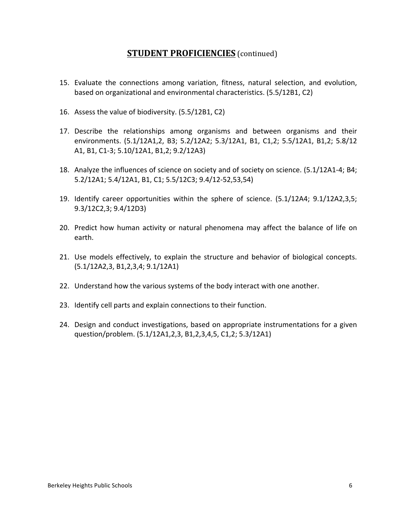#### **STUDENT PROFICIENCIES** (continued)

- 15. Evaluate the connections among variation, fitness, natural selection, and evolution, based on organizational and environmental characteristics. (5.5/12B1, C2)
- 16. Assess the value of biodiversity. (5.5/12B1, C2)
- 17. Describe the relationships among organisms and between organisms and their environments. (5.1/12A1,2, B3; 5.2/12A2; 5.3/12A1, B1, C1,2; 5.5/12A1, B1,2; 5.8/12 A1, B1, C1-3; 5.10/12A1, B1,2; 9.2/12A3)
- 18. Analyze the influences of science on society and of society on science. (5.1/12A1-4; B4; 5.2/12A1; 5.4/12A1, B1, C1; 5.5/12C3; 9.4/12-52,53,54)
- 19. Identify career opportunities within the sphere of science. (5.1/12A4; 9.1/12A2,3,5; 9.3/12C2,3; 9.4/12D3)
- 20. Predict how human activity or natural phenomena may affect the balance of life on earth.
- 21. Use models effectively, to explain the structure and behavior of biological concepts. (5.1/12A2,3, B1,2,3,4; 9.1/12A1)
- 22. Understand how the various systems of the body interact with one another.
- 23. Identify cell parts and explain connections to their function.
- 24. Design and conduct investigations, based on appropriate instrumentations for a given question/problem. (5.1/12A1,2,3, B1,2,3,4,5, C1,2; 5.3/12A1)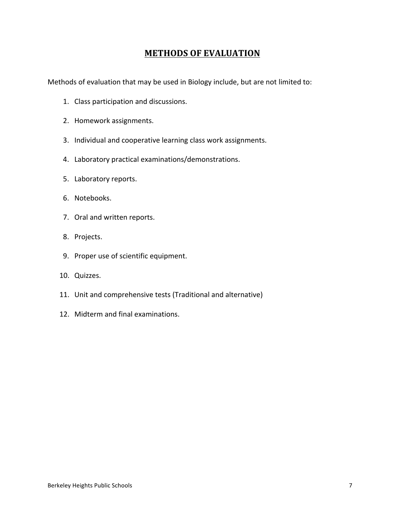### **METHODS OF EVALUATION**

Methods of evaluation that may be used in Biology include, but are not limited to:

- 1. Class participation and discussions.
- 2. Homework assignments.
- 3. Individual and cooperative learning class work assignments.
- 4. Laboratory practical examinations/demonstrations.
- 5. Laboratory reports.
- 6. Notebooks.
- 7. Oral and written reports.
- 8. Projects.
- 9. Proper use of scientific equipment.
- 10. Quizzes.
- 11. Unit and comprehensive tests (Traditional and alternative)
- 12. Midterm and final examinations.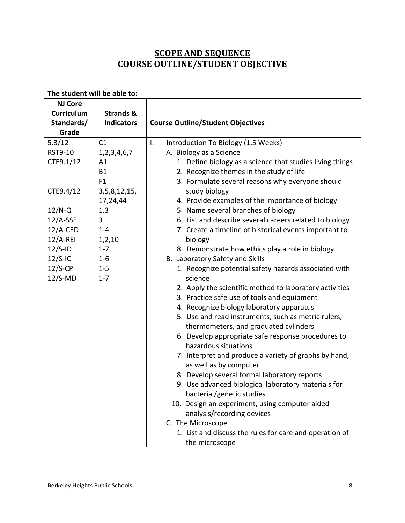## **SCOPE AND SEQUENCE COURSE OUTLINE/STUDENT OBJECTIVE**

| <b>NJ Core</b>    |                      |                                                           |
|-------------------|----------------------|-----------------------------------------------------------|
| <b>Curriculum</b> | <b>Strands &amp;</b> |                                                           |
| Standards/        | <b>Indicators</b>    | <b>Course Outline/Student Objectives</b>                  |
| Grade             |                      |                                                           |
| 5.3/12            | C1                   | $\mathsf{I}$ .<br>Introduction To Biology (1.5 Weeks)     |
| RST9-10           | 1, 2, 3, 4, 6, 7     | A. Biology as a Science                                   |
| CTE9.1/12         | A1                   | 1. Define biology as a science that studies living things |
|                   | <b>B1</b>            | 2. Recognize themes in the study of life                  |
|                   | F <sub>1</sub>       | 3. Formulate several reasons why everyone should          |
| CTE9.4/12         | 3, 5, 8, 12, 15,     | study biology                                             |
|                   | 17,24,44             | 4. Provide examples of the importance of biology          |
| $12/N-Q$          | 1.3                  | 5. Name several branches of biology                       |
| $12/A-SSE$        | 3                    | 6. List and describe several careers related to biology   |
| $12/A$ -CED       | $1 - 4$              | 7. Create a timeline of historical events important to    |
| $12/A-REI$        | 1, 2, 10             | biology                                                   |
| $12/S$ -ID        | $1 - 7$              | 8. Demonstrate how ethics play a role in biology          |
| $12/S$ -IC        | $1 - 6$              | B. Laboratory Safety and Skills                           |
| $12/S$ -CP        | $1 - 5$              | 1. Recognize potential safety hazards associated with     |
| $12/S-MD$         | $1 - 7$              | science                                                   |
|                   |                      | 2. Apply the scientific method to laboratory activities   |
|                   |                      | 3. Practice safe use of tools and equipment               |
|                   |                      | 4. Recognize biology laboratory apparatus                 |
|                   |                      | 5. Use and read instruments, such as metric rulers,       |
|                   |                      | thermometers, and graduated cylinders                     |
|                   |                      | 6. Develop appropriate safe response procedures to        |
|                   |                      | hazardous situations                                      |
|                   |                      | 7. Interpret and produce a variety of graphs by hand,     |
|                   |                      | as well as by computer                                    |
|                   |                      | 8. Develop several formal laboratory reports              |
|                   |                      | 9. Use advanced biological laboratory materials for       |
|                   |                      | bacterial/genetic studies                                 |
|                   |                      | 10. Design an experiment, using computer aided            |
|                   |                      | analysis/recording devices                                |
|                   |                      | C. The Microscope                                         |
|                   |                      | 1. List and discuss the rules for care and operation of   |
|                   |                      | the microscope                                            |

#### The student will be able to: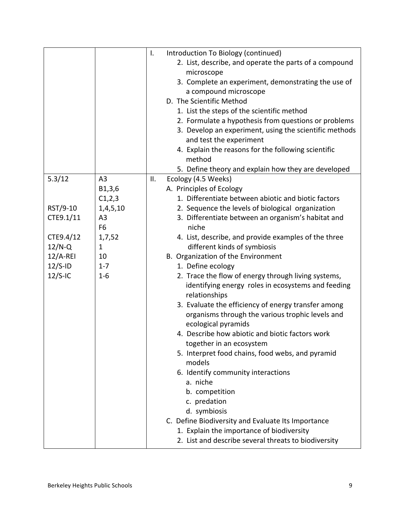|            |                | I.<br>Introduction To Biology (continued)              |
|------------|----------------|--------------------------------------------------------|
|            |                | 2. List, describe, and operate the parts of a compound |
|            |                | microscope                                             |
|            |                | 3. Complete an experiment, demonstrating the use of    |
|            |                | a compound microscope                                  |
|            |                | D. The Scientific Method                               |
|            |                | 1. List the steps of the scientific method             |
|            |                | 2. Formulate a hypothesis from questions or problems   |
|            |                | 3. Develop an experiment, using the scientific methods |
|            |                | and test the experiment                                |
|            |                | 4. Explain the reasons for the following scientific    |
|            |                | method                                                 |
|            |                | 5. Define theory and explain how they are developed    |
| 5.3/12     | A <sub>3</sub> | ΙΙ.<br>Ecology (4.5 Weeks)                             |
|            | B1,3,6         | A. Principles of Ecology                               |
|            | C1, 2, 3       | 1. Differentiate between abiotic and biotic factors    |
| RST/9-10   | 1,4,5,10       | 2. Sequence the levels of biological organization      |
| CTE9.1/11  | A <sub>3</sub> | 3. Differentiate between an organism's habitat and     |
|            | F <sub>6</sub> | niche                                                  |
| CTE9.4/12  | 1,7,52         | 4. List, describe, and provide examples of the three   |
| $12/N-Q$   | $\mathbf{1}$   | different kinds of symbiosis                           |
| $12/A-REI$ | 10             | B. Organization of the Environment                     |
| $12/S$ -ID | $1 - 7$        | 1. Define ecology                                      |
| $12/S$ -IC | $1 - 6$        | 2. Trace the flow of energy through living systems,    |
|            |                | identifying energy roles in ecosystems and feeding     |
|            |                | relationships                                          |
|            |                | 3. Evaluate the efficiency of energy transfer among    |
|            |                | organisms through the various trophic levels and       |
|            |                | ecological pyramids                                    |
|            |                | 4. Describe how abiotic and biotic factors work        |
|            |                | together in an ecosystem                               |
|            |                | 5. Interpret food chains, food webs, and pyramid       |
|            |                | models                                                 |
|            |                | 6. Identify community interactions                     |
|            |                | a. niche                                               |
|            |                | b. competition                                         |
|            |                | c. predation                                           |
|            |                | d. symbiosis                                           |
|            |                | C. Define Biodiversity and Evaluate Its Importance     |
|            |                | 1. Explain the importance of biodiversity              |
|            |                | 2. List and describe several threats to biodiversity   |
|            |                |                                                        |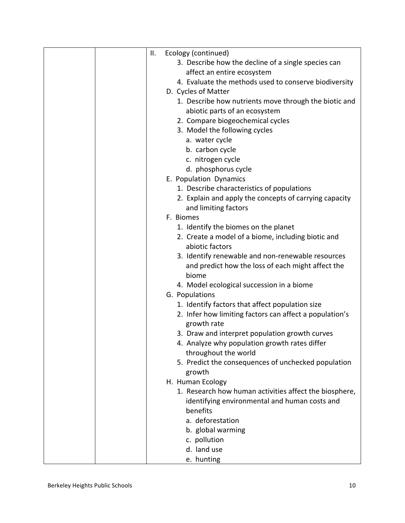| ΙΙ. | Ecology (continued)                                     |
|-----|---------------------------------------------------------|
|     | 3. Describe how the decline of a single species can     |
|     | affect an entire ecosystem                              |
|     | 4. Evaluate the methods used to conserve biodiversity   |
|     | D. Cycles of Matter                                     |
|     | 1. Describe how nutrients move through the biotic and   |
|     | abiotic parts of an ecosystem                           |
|     | 2. Compare biogeochemical cycles                        |
|     | 3. Model the following cycles                           |
|     | a. water cycle                                          |
|     | b. carbon cycle                                         |
|     | c. nitrogen cycle                                       |
|     | d. phosphorus cycle                                     |
|     | E. Population Dynamics                                  |
|     | 1. Describe characteristics of populations              |
|     | 2. Explain and apply the concepts of carrying capacity  |
|     | and limiting factors                                    |
|     | F. Biomes                                               |
|     | 1. Identify the biomes on the planet                    |
|     | 2. Create a model of a biome, including biotic and      |
|     | abiotic factors                                         |
|     | 3. Identify renewable and non-renewable resources       |
|     | and predict how the loss of each might affect the       |
|     | biome                                                   |
|     | 4. Model ecological succession in a biome               |
|     | G. Populations                                          |
|     | 1. Identify factors that affect population size         |
|     | 2. Infer how limiting factors can affect a population's |
|     | growth rate                                             |
|     | 3. Draw and interpret population growth curves          |
|     | 4. Analyze why population growth rates differ           |
|     | throughout the world                                    |
|     | 5. Predict the consequences of unchecked population     |
|     | growth<br>H. Human Ecology                              |
|     | 1. Research how human activities affect the biosphere,  |
|     | identifying environmental and human costs and           |
|     | benefits                                                |
|     | a. deforestation                                        |
|     | b. global warming                                       |
|     | c. pollution                                            |
|     | d. land use                                             |
|     | e. hunting                                              |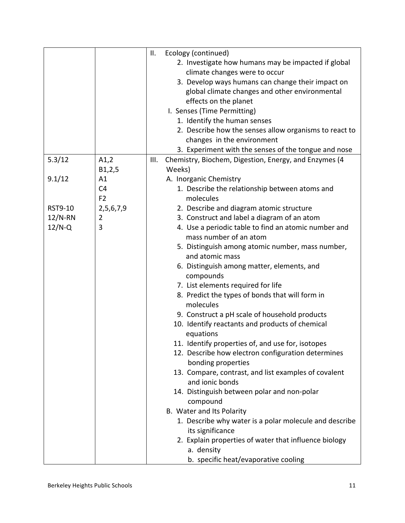|           |                | ΙΙ.  | Ecology (continued)                                    |
|-----------|----------------|------|--------------------------------------------------------|
|           |                |      | 2. Investigate how humans may be impacted if global    |
|           |                |      | climate changes were to occur                          |
|           |                |      | 3. Develop ways humans can change their impact on      |
|           |                |      | global climate changes and other environmental         |
|           |                |      | effects on the planet                                  |
|           |                |      | I. Senses (Time Permitting)                            |
|           |                |      | 1. Identify the human senses                           |
|           |                |      | 2. Describe how the senses allow organisms to react to |
|           |                |      | changes in the environment                             |
|           |                |      | 3. Experiment with the senses of the tongue and nose   |
| 5.3/12    | A1,2           | III. | Chemistry, Biochem, Digestion, Energy, and Enzymes (4  |
|           | B1,2,5         |      | Weeks)                                                 |
| 9.1/12    | A1             |      | A. Inorganic Chemistry                                 |
|           | C <sub>4</sub> |      | 1. Describe the relationship between atoms and         |
|           | F <sub>2</sub> |      | molecules                                              |
| RST9-10   | 2,5,6,7,9      |      | 2. Describe and diagram atomic structure               |
| $12/N-RN$ | $\overline{2}$ |      | 3. Construct and label a diagram of an atom            |
| $12/N-Q$  | 3              |      | 4. Use a periodic table to find an atomic number and   |
|           |                |      | mass number of an atom                                 |
|           |                |      | 5. Distinguish among atomic number, mass number,       |
|           |                |      | and atomic mass                                        |
|           |                |      | 6. Distinguish among matter, elements, and             |
|           |                |      | compounds                                              |
|           |                |      | 7. List elements required for life                     |
|           |                |      | 8. Predict the types of bonds that will form in        |
|           |                |      | molecules                                              |
|           |                |      | 9. Construct a pH scale of household products          |
|           |                |      | 10. Identify reactants and products of chemical        |
|           |                |      | equations                                              |
|           |                |      | 11. Identify properties of, and use for, isotopes      |
|           |                |      | 12. Describe how electron configuration determines     |
|           |                |      | bonding properties                                     |
|           |                |      | 13. Compare, contrast, and list examples of covalent   |
|           |                |      | and ionic bonds                                        |
|           |                |      | 14. Distinguish between polar and non-polar            |
|           |                |      | compound                                               |
|           |                |      | B. Water and Its Polarity                              |
|           |                |      | 1. Describe why water is a polar molecule and describe |
|           |                |      | its significance                                       |
|           |                |      | 2. Explain properties of water that influence biology  |
|           |                |      | a. density                                             |
|           |                |      | b. specific heat/evaporative cooling                   |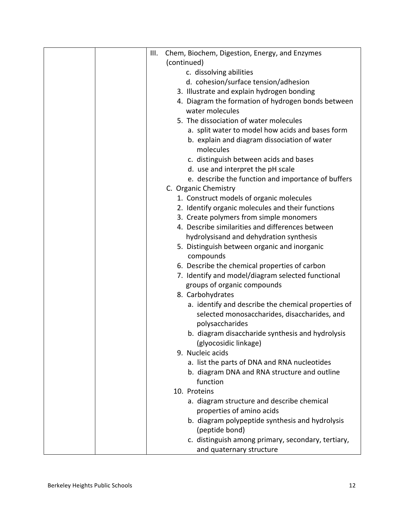|  | III. | Chem, Biochem, Digestion, Energy, and Enzymes                             |
|--|------|---------------------------------------------------------------------------|
|  |      | (continued)                                                               |
|  |      | c. dissolving abilities                                                   |
|  |      | d. cohesion/surface tension/adhesion                                      |
|  |      | 3. Illustrate and explain hydrogen bonding                                |
|  |      | 4. Diagram the formation of hydrogen bonds between                        |
|  |      | water molecules                                                           |
|  |      | 5. The dissociation of water molecules                                    |
|  |      | a. split water to model how acids and bases form                          |
|  |      | b. explain and diagram dissociation of water                              |
|  |      | molecules                                                                 |
|  |      | c. distinguish between acids and bases                                    |
|  |      | d. use and interpret the pH scale                                         |
|  |      | e. describe the function and importance of buffers                        |
|  |      | C. Organic Chemistry                                                      |
|  |      | 1. Construct models of organic molecules                                  |
|  |      | 2. Identify organic molecules and their functions                         |
|  |      | 3. Create polymers from simple monomers                                   |
|  |      | 4. Describe similarities and differences between                          |
|  |      | hydrolysisand and dehydration synthesis                                   |
|  |      | 5. Distinguish between organic and inorganic                              |
|  |      | compounds                                                                 |
|  |      | 6. Describe the chemical properties of carbon                             |
|  |      | 7. Identify and model/diagram selected functional                         |
|  |      | groups of organic compounds                                               |
|  |      | 8. Carbohydrates                                                          |
|  |      | a. identify and describe the chemical properties of                       |
|  |      | selected monosaccharides, disaccharides, and                              |
|  |      | polysaccharides                                                           |
|  |      | b. diagram disaccharide synthesis and hydrolysis<br>(glyocosidic linkage) |
|  |      | 9. Nucleic acids                                                          |
|  |      | a. list the parts of DNA and RNA nucleotides                              |
|  |      | b. diagram DNA and RNA structure and outline                              |
|  |      | function                                                                  |
|  |      | 10. Proteins                                                              |
|  |      | a. diagram structure and describe chemical                                |
|  |      | properties of amino acids                                                 |
|  |      | b. diagram polypeptide synthesis and hydrolysis                           |
|  |      | (peptide bond)                                                            |
|  |      | c. distinguish among primary, secondary, tertiary,                        |
|  |      | and quaternary structure                                                  |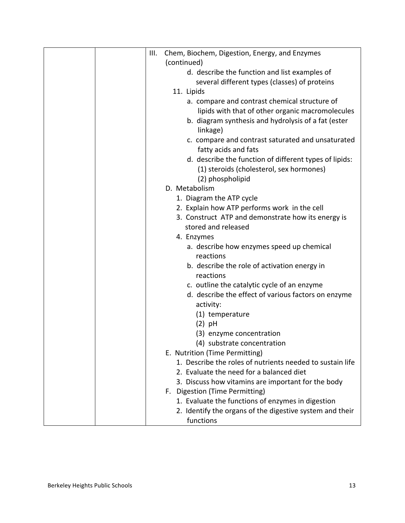|  | III. | Chem, Biochem, Digestion, Energy, and Enzymes                         |
|--|------|-----------------------------------------------------------------------|
|  |      | (continued)                                                           |
|  |      | d. describe the function and list examples of                         |
|  |      | several different types (classes) of proteins                         |
|  |      | 11. Lipids                                                            |
|  |      | a. compare and contrast chemical structure of                         |
|  |      | lipids with that of other organic macromolecules                      |
|  |      | b. diagram synthesis and hydrolysis of a fat (ester<br>linkage)       |
|  |      | c. compare and contrast saturated and unsaturated                     |
|  |      | fatty acids and fats                                                  |
|  |      | d. describe the function of different types of lipids:                |
|  |      | (1) steroids (cholesterol, sex hormones)<br>(2) phospholipid          |
|  |      | D. Metabolism                                                         |
|  |      | 1. Diagram the ATP cycle                                              |
|  |      | 2. Explain how ATP performs work in the cell                          |
|  |      | 3. Construct ATP and demonstrate how its energy is                    |
|  |      | stored and released                                                   |
|  |      | 4. Enzymes                                                            |
|  |      | a. describe how enzymes speed up chemical                             |
|  |      | reactions                                                             |
|  |      | b. describe the role of activation energy in                          |
|  |      | reactions                                                             |
|  |      | c. outline the catalytic cycle of an enzyme                           |
|  |      | d. describe the effect of various factors on enzyme                   |
|  |      | activity:                                                             |
|  |      | (1) temperature                                                       |
|  |      | $(2)$ pH                                                              |
|  |      | (3) enzyme concentration                                              |
|  |      | (4) substrate concentration                                           |
|  |      | E. Nutrition (Time Permitting)                                        |
|  |      | 1. Describe the roles of nutrients needed to sustain life             |
|  |      | 2. Evaluate the need for a balanced diet                              |
|  |      | 3. Discuss how vitamins are important for the body                    |
|  |      | F. Digestion (Time Permitting)                                        |
|  |      | 1. Evaluate the functions of enzymes in digestion                     |
|  |      | 2. Identify the organs of the digestive system and their<br>functions |
|  |      |                                                                       |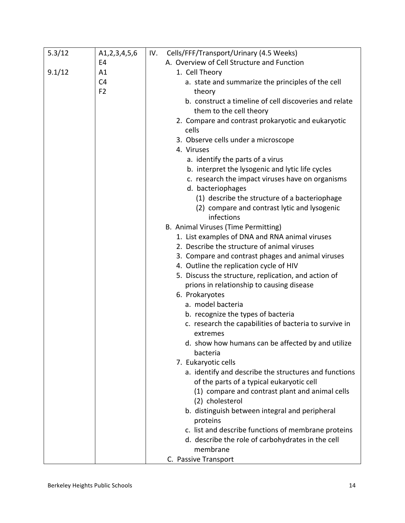| 5.3/12 | A1,2,3,4,5,6   | Cells/FFF/Transport/Urinary (4.5 Weeks)<br>IV.                                                    |
|--------|----------------|---------------------------------------------------------------------------------------------------|
|        | E4             | A. Overview of Cell Structure and Function                                                        |
| 9.1/12 | A1             | 1. Cell Theory                                                                                    |
|        | C <sub>4</sub> | a. state and summarize the principles of the cell                                                 |
|        | F <sub>2</sub> | theory                                                                                            |
|        |                | b. construct a timeline of cell discoveries and relate<br>them to the cell theory                 |
|        |                | 2. Compare and contrast prokaryotic and eukaryotic                                                |
|        |                | cells                                                                                             |
|        |                | 3. Observe cells under a microscope<br>4. Viruses                                                 |
|        |                | a. identify the parts of a virus                                                                  |
|        |                | b. interpret the lysogenic and lytic life cycles                                                  |
|        |                | c. research the impact viruses have on organisms                                                  |
|        |                | d. bacteriophages                                                                                 |
|        |                | (1) describe the structure of a bacteriophage                                                     |
|        |                | (2) compare and contrast lytic and lysogenic<br>infections                                        |
|        |                | B. Animal Viruses (Time Permitting)                                                               |
|        |                | 1. List examples of DNA and RNA animal viruses                                                    |
|        |                | 2. Describe the structure of animal viruses                                                       |
|        |                | 3. Compare and contrast phages and animal viruses                                                 |
|        |                | 4. Outline the replication cycle of HIV                                                           |
|        |                | 5. Discuss the structure, replication, and action of<br>prions in relationship to causing disease |
|        |                | 6. Prokaryotes                                                                                    |
|        |                | a. model bacteria                                                                                 |
|        |                | b. recognize the types of bacteria                                                                |
|        |                | c. research the capabilities of bacteria to survive in                                            |
|        |                | extremes                                                                                          |
|        |                | d. show how humans can be affected by and utilize<br>bacteria                                     |
|        |                | 7. Eukaryotic cells                                                                               |
|        |                | a. identify and describe the structures and functions                                             |
|        |                | of the parts of a typical eukaryotic cell                                                         |
|        |                | (1) compare and contrast plant and animal cells<br>(2) cholesterol                                |
|        |                | b. distinguish between integral and peripheral                                                    |
|        |                | proteins                                                                                          |
|        |                | c. list and describe functions of membrane proteins                                               |
|        |                | d. describe the role of carbohydrates in the cell                                                 |
|        |                | membrane                                                                                          |
|        |                | C. Passive Transport                                                                              |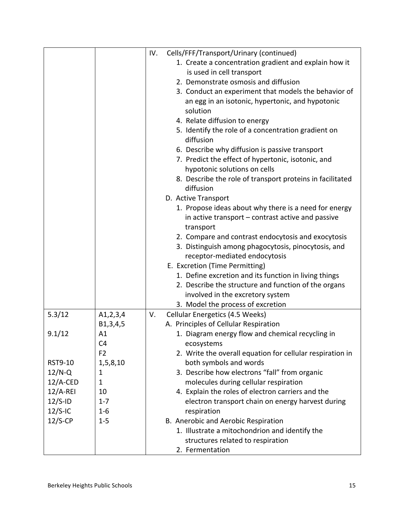| 1. Create a concentration gradient and explain how it     |
|-----------------------------------------------------------|
|                                                           |
|                                                           |
| 3. Conduct an experiment that models the behavior of      |
| an egg in an isotonic, hypertonic, and hypotonic          |
|                                                           |
|                                                           |
| 5. Identify the role of a concentration gradient on       |
|                                                           |
| 6. Describe why diffusion is passive transport            |
| 7. Predict the effect of hypertonic, isotonic, and        |
|                                                           |
| 8. Describe the role of transport proteins in facilitated |
|                                                           |
|                                                           |
| 1. Propose ideas about why there is a need for energy     |
| in active transport – contrast active and passive         |
|                                                           |
| 2. Compare and contrast endocytosis and exocytosis        |
| 3. Distinguish among phagocytosis, pinocytosis, and       |
|                                                           |
|                                                           |
| 1. Define excretion and its function in living things     |
| 2. Describe the structure and function of the organs      |
|                                                           |
|                                                           |
|                                                           |
|                                                           |
| 1. Diagram energy flow and chemical recycling in          |
|                                                           |
| 2. Write the overall equation for cellular respiration in |
|                                                           |
| 3. Describe how electrons "fall" from organic             |
|                                                           |
| 4. Explain the roles of electron carriers and the         |
| electron transport chain on energy harvest during         |
|                                                           |
|                                                           |
| 1. Illustrate a mitochondrion and identify the            |
|                                                           |
|                                                           |
|                                                           |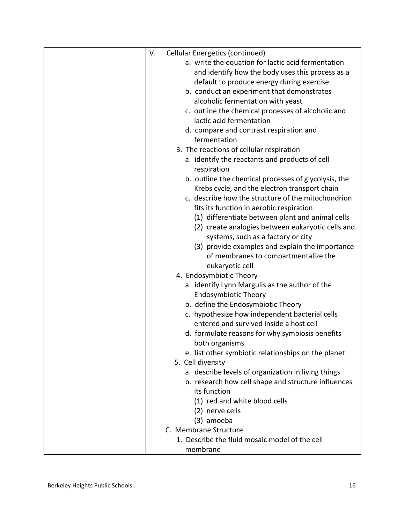| V.<br><b>Cellular Energetics (continued)</b>         |
|------------------------------------------------------|
| a. write the equation for lactic acid fermentation   |
| and identify how the body uses this process as a     |
| default to produce energy during exercise            |
| b. conduct an experiment that demonstrates           |
| alcoholic fermentation with yeast                    |
| c. outline the chemical processes of alcoholic and   |
| lactic acid fermentation                             |
| d. compare and contrast respiration and              |
| fermentation                                         |
| 3. The reactions of cellular respiration             |
| a. identify the reactants and products of cell       |
| respiration                                          |
| b. outline the chemical processes of glycolysis, the |
| Krebs cycle, and the electron transport chain        |
| c. describe how the structure of the mitochondrion   |
| fits its function in aerobic respiration             |
| (1) differentiate between plant and animal cells     |
| (2) create analogies between eukaryotic cells and    |
| systems, such as a factory or city                   |
| (3) provide examples and explain the importance      |
| of membranes to compartmentalize the                 |
| eukaryotic cell                                      |
| 4. Endosymbiotic Theory                              |
| a. identify Lynn Margulis as the author of the       |
| <b>Endosymbiotic Theory</b>                          |
| b. define the Endosymbiotic Theory                   |
| c. hypothesize how independent bacterial cells       |
| entered and survived inside a host cell              |
| d. formulate reasons for why symbiosis benefits      |
| both organisms                                       |
| e. list other symbiotic relationships on the planet  |
| 5. Cell diversity                                    |
| a. describe levels of organization in living things  |
| b. research how cell shape and structure influences  |
| its function                                         |
| (1) red and white blood cells                        |
| (2) nerve cells                                      |
| (3) amoeba                                           |
| C. Membrane Structure                                |
| 1. Describe the fluid mosaic model of the cell       |
| membrane                                             |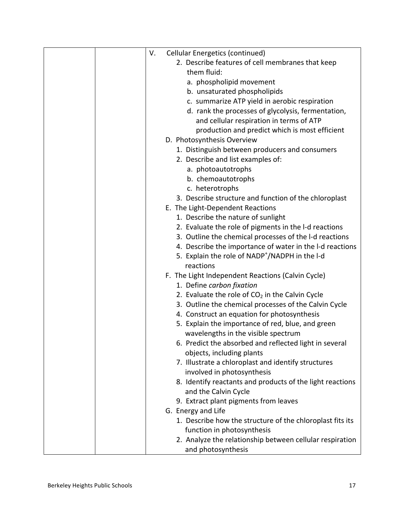|  | V. | <b>Cellular Energetics (continued)</b>                     |
|--|----|------------------------------------------------------------|
|  |    | 2. Describe features of cell membranes that keep           |
|  |    | them fluid:                                                |
|  |    | a. phospholipid movement                                   |
|  |    | b. unsaturated phospholipids                               |
|  |    | c. summarize ATP yield in aerobic respiration              |
|  |    | d. rank the processes of glycolysis, fermentation,         |
|  |    | and cellular respiration in terms of ATP                   |
|  |    | production and predict which is most efficient             |
|  |    | D. Photosynthesis Overview                                 |
|  |    | 1. Distinguish between producers and consumers             |
|  |    | 2. Describe and list examples of:                          |
|  |    | a. photoautotrophs                                         |
|  |    | b. chemoautotrophs                                         |
|  |    | c. heterotrophs                                            |
|  |    | 3. Describe structure and function of the chloroplast      |
|  |    | E. The Light-Dependent Reactions                           |
|  |    | 1. Describe the nature of sunlight                         |
|  |    | 2. Evaluate the role of pigments in the I-d reactions      |
|  |    | 3. Outline the chemical processes of the I-d reactions     |
|  |    | 4. Describe the importance of water in the I-d reactions   |
|  |    | 5. Explain the role of NADP <sup>+</sup> /NADPH in the I-d |
|  |    | reactions                                                  |
|  |    | F. The Light Independent Reactions (Calvin Cycle)          |
|  |    | 1. Define carbon fixation                                  |
|  |    | 2. Evaluate the role of $CO2$ in the Calvin Cycle          |
|  |    | 3. Outline the chemical processes of the Calvin Cycle      |
|  |    | 4. Construct an equation for photosynthesis                |
|  |    | 5. Explain the importance of red, blue, and green          |
|  |    | wavelengths in the visible spectrum                        |
|  |    | 6. Predict the absorbed and reflected light in several     |
|  |    | objects, including plants                                  |
|  |    | 7. Illustrate a chloroplast and identify structures        |
|  |    | involved in photosynthesis                                 |
|  |    | 8. Identify reactants and products of the light reactions  |
|  |    | and the Calvin Cycle                                       |
|  |    | 9. Extract plant pigments from leaves                      |
|  |    | G. Energy and Life                                         |
|  |    | 1. Describe how the structure of the chloroplast fits its  |
|  |    | function in photosynthesis                                 |
|  |    | 2. Analyze the relationship between cellular respiration   |
|  |    | and photosynthesis                                         |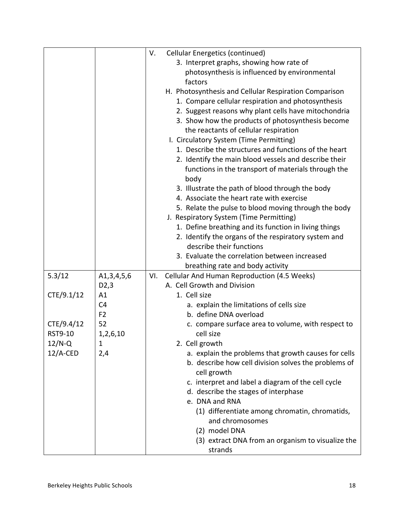|                |                | <b>Cellular Energetics (continued)</b><br>V.          |
|----------------|----------------|-------------------------------------------------------|
|                |                | 3. Interpret graphs, showing how rate of              |
|                |                | photosynthesis is influenced by environmental         |
|                |                | factors                                               |
|                |                | H. Photosynthesis and Cellular Respiration Comparison |
|                |                | 1. Compare cellular respiration and photosynthesis    |
|                |                | 2. Suggest reasons why plant cells have mitochondria  |
|                |                | 3. Show how the products of photosynthesis become     |
|                |                | the reactants of cellular respiration                 |
|                |                | I. Circulatory System (Time Permitting)               |
|                |                | 1. Describe the structures and functions of the heart |
|                |                | 2. Identify the main blood vessels and describe their |
|                |                | functions in the transport of materials through the   |
|                |                | body                                                  |
|                |                | 3. Illustrate the path of blood through the body      |
|                |                | 4. Associate the heart rate with exercise             |
|                |                | 5. Relate the pulse to blood moving through the body  |
|                |                | J. Respiratory System (Time Permitting)               |
|                |                | 1. Define breathing and its function in living things |
|                |                | 2. Identify the organs of the respiratory system and  |
|                |                | describe their functions                              |
|                |                | 3. Evaluate the correlation between increased         |
|                |                | breathing rate and body activity                      |
| 5.3/12         | A1, 3, 4, 5, 6 | Cellular And Human Reproduction (4.5 Weeks)<br>VI.    |
|                | D2,3           | A. Cell Growth and Division                           |
| CTE/9.1/12     | A1             | 1. Cell size                                          |
|                | C <sub>4</sub> | a. explain the limitations of cells size              |
|                | F <sub>2</sub> | b. define DNA overload                                |
| CTE/9.4/12     | 52             | c. compare surface area to volume, with respect to    |
| <b>RST9-10</b> | 1,2,6,10       | cell size                                             |
| $12/N-Q$       | 1              | 2. Cell growth                                        |
| $12/A$ -CED    | 2,4            | a. explain the problems that growth causes for cells  |
|                |                | b. describe how cell division solves the problems of  |
|                |                | cell growth                                           |
|                |                | c. interpret and label a diagram of the cell cycle    |
|                |                | d. describe the stages of interphase                  |
|                |                | e. DNA and RNA                                        |
|                |                | (1) differentiate among chromatin, chromatids,        |
|                |                | and chromosomes                                       |
|                |                | (2) model DNA                                         |
|                |                | (3) extract DNA from an organism to visualize the     |
|                |                | strands                                               |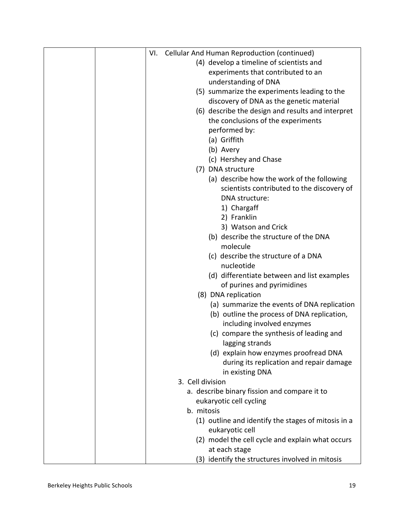| VI. | <b>Cellular And Human Reproduction (continued)</b>                  |  |
|-----|---------------------------------------------------------------------|--|
|     | (4) develop a timeline of scientists and                            |  |
|     | experiments that contributed to an                                  |  |
|     | understanding of DNA                                                |  |
|     | (5) summarize the experiments leading to the                        |  |
|     | discovery of DNA as the genetic material                            |  |
|     | (6) describe the design and results and interpret                   |  |
|     | the conclusions of the experiments                                  |  |
|     | performed by:                                                       |  |
|     | (a) Griffith                                                        |  |
|     | (b) Avery                                                           |  |
|     | (c) Hershey and Chase                                               |  |
|     | (7) DNA structure                                                   |  |
|     | (a) describe how the work of the following                          |  |
|     | scientists contributed to the discovery of<br><b>DNA</b> structure: |  |
|     |                                                                     |  |
|     | 1) Chargaff<br>2) Franklin                                          |  |
|     | 3) Watson and Crick                                                 |  |
|     | (b) describe the structure of the DNA                               |  |
|     | molecule                                                            |  |
|     | (c) describe the structure of a DNA                                 |  |
|     | nucleotide                                                          |  |
|     | (d) differentiate between and list examples                         |  |
|     | of purines and pyrimidines                                          |  |
|     | (8) DNA replication                                                 |  |
|     | (a) summarize the events of DNA replication                         |  |
|     | (b) outline the process of DNA replication,                         |  |
|     | including involved enzymes                                          |  |
|     | (c) compare the synthesis of leading and                            |  |
|     | lagging strands                                                     |  |
|     | (d) explain how enzymes proofread DNA                               |  |
|     | during its replication and repair damage                            |  |
|     | in existing DNA                                                     |  |
|     | 3. Cell division                                                    |  |
|     | a. describe binary fission and compare it to                        |  |
|     | eukaryotic cell cycling                                             |  |
|     | b. mitosis                                                          |  |
|     | (1) outline and identify the stages of mitosis in a                 |  |
|     | eukaryotic cell                                                     |  |
|     | (2) model the cell cycle and explain what occurs                    |  |
|     | at each stage                                                       |  |
|     | (3) identify the structures involved in mitosis                     |  |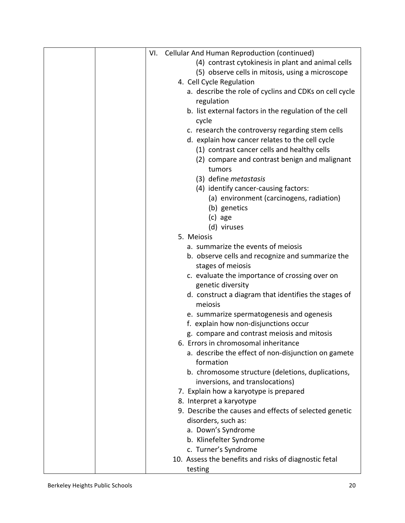|  | VI. | Cellular And Human Reproduction (continued)            |
|--|-----|--------------------------------------------------------|
|  |     | (4) contrast cytokinesis in plant and animal cells     |
|  |     | (5) observe cells in mitosis, using a microscope       |
|  |     | 4. Cell Cycle Regulation                               |
|  |     | a. describe the role of cyclins and CDKs on cell cycle |
|  |     | regulation                                             |
|  |     | b. list external factors in the regulation of the cell |
|  |     | cycle                                                  |
|  |     | c. research the controversy regarding stem cells       |
|  |     | d. explain how cancer relates to the cell cycle        |
|  |     | (1) contrast cancer cells and healthy cells            |
|  |     | (2) compare and contrast benign and malignant          |
|  |     | tumors                                                 |
|  |     | (3) define <i>metastasis</i>                           |
|  |     | (4) identify cancer-causing factors:                   |
|  |     | (a) environment (carcinogens, radiation)               |
|  |     | (b) genetics                                           |
|  |     | (c) age                                                |
|  |     | (d) viruses                                            |
|  |     | 5. Meiosis                                             |
|  |     | a. summarize the events of meiosis                     |
|  |     | b. observe cells and recognize and summarize the       |
|  |     | stages of meiosis                                      |
|  |     | c. evaluate the importance of crossing over on         |
|  |     | genetic diversity                                      |
|  |     | d. construct a diagram that identifies the stages of   |
|  |     | meiosis                                                |
|  |     | e. summarize spermatogenesis and ogenesis              |
|  |     | f. explain how non-disjunctions occur                  |
|  |     | g. compare and contrast meiosis and mitosis            |
|  |     | 6. Errors in chromosomal inheritance                   |
|  |     | a. describe the effect of non-disjunction on gamete    |
|  |     | formation                                              |
|  |     | b. chromosome structure (deletions, duplications,      |
|  |     | inversions, and translocations)                        |
|  |     | 7. Explain how a karyotype is prepared                 |
|  |     | 8. Interpret a karyotype                               |
|  |     | 9. Describe the causes and effects of selected genetic |
|  |     | disorders, such as:                                    |
|  |     | a. Down's Syndrome                                     |
|  |     | b. Klinefelter Syndrome                                |
|  |     | c. Turner's Syndrome                                   |
|  |     | 10. Assess the benefits and risks of diagnostic fetal  |
|  |     | testing                                                |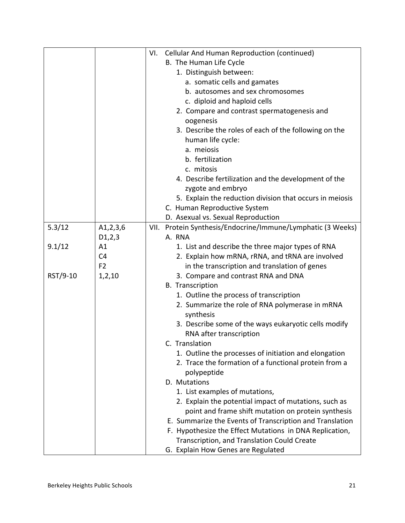|          |                | VI. | Cellular And Human Reproduction (continued)                                     |
|----------|----------------|-----|---------------------------------------------------------------------------------|
|          |                |     | B. The Human Life Cycle                                                         |
|          |                |     | 1. Distinguish between:                                                         |
|          |                |     | a. somatic cells and gamates                                                    |
|          |                |     | b. autosomes and sex chromosomes                                                |
|          |                |     | c. diploid and haploid cells                                                    |
|          |                |     | 2. Compare and contrast spermatogenesis and                                     |
|          |                |     | oogenesis                                                                       |
|          |                |     | 3. Describe the roles of each of the following on the                           |
|          |                |     | human life cycle:                                                               |
|          |                |     | a. meiosis                                                                      |
|          |                |     | b. fertilization                                                                |
|          |                |     | c. mitosis                                                                      |
|          |                |     | 4. Describe fertilization and the development of the                            |
|          |                |     | zygote and embryo                                                               |
|          |                |     | 5. Explain the reduction division that occurs in meiosis                        |
|          |                |     | C. Human Reproductive System                                                    |
|          |                |     | D. Asexual vs. Sexual Reproduction                                              |
| 5.3/12   | A1, 2, 3, 6    |     | VII. Protein Synthesis/Endocrine/Immune/Lymphatic (3 Weeks)                     |
|          | D1, 2, 3       |     | A. RNA                                                                          |
| 9.1/12   | A1             |     | 1. List and describe the three major types of RNA                               |
|          | C <sub>4</sub> |     |                                                                                 |
|          | F <sub>2</sub> |     | 2. Explain how mRNA, rRNA, and tRNA are involved                                |
| RST/9-10 |                |     | in the transcription and translation of genes                                   |
|          | 1, 2, 10       |     | 3. Compare and contrast RNA and DNA<br><b>B.</b> Transcription                  |
|          |                |     |                                                                                 |
|          |                |     | 1. Outline the process of transcription                                         |
|          |                |     | 2. Summarize the role of RNA polymerase in mRNA                                 |
|          |                |     | synthesis                                                                       |
|          |                |     | 3. Describe some of the ways eukaryotic cells modify<br>RNA after transcription |
|          |                |     |                                                                                 |
|          |                |     | C. Translation                                                                  |
|          |                |     | 1. Outline the processes of initiation and elongation                           |
|          |                |     | 2. Trace the formation of a functional protein from a<br>polypeptide            |
|          |                |     | D. Mutations                                                                    |
|          |                |     | 1. List examples of mutations,                                                  |
|          |                |     | 2. Explain the potential impact of mutations, such as                           |
|          |                |     | point and frame shift mutation on protein synthesis                             |
|          |                |     | E. Summarize the Events of Transcription and Translation                        |
|          |                |     | F. Hypothesize the Effect Mutations in DNA Replication,                         |
|          |                |     | Transcription, and Translation Could Create                                     |
|          |                |     | G. Explain How Genes are Regulated                                              |
|          |                |     |                                                                                 |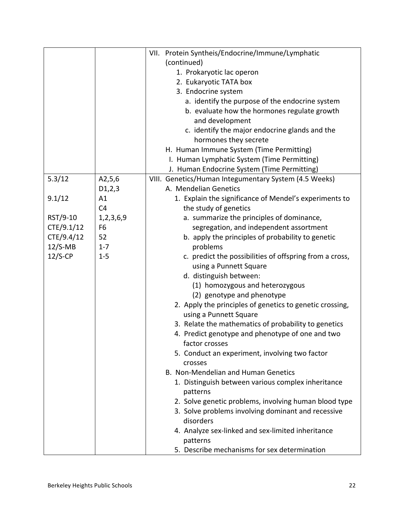|            |                | VII. Protein Syntheis/Endocrine/Immune/Lymphatic               |
|------------|----------------|----------------------------------------------------------------|
|            |                | (continued)                                                    |
|            |                | 1. Prokaryotic lac operon                                      |
|            |                | 2. Eukaryotic TATA box                                         |
|            |                | 3. Endocrine system                                            |
|            |                | a. identify the purpose of the endocrine system                |
|            |                | b. evaluate how the hormones regulate growth                   |
|            |                | and development                                                |
|            |                | c. identify the major endocrine glands and the                 |
|            |                | hormones they secrete                                          |
|            |                | H. Human Immune System (Time Permitting)                       |
|            |                | I. Human Lymphatic System (Time Permitting)                    |
|            |                | J. Human Endocrine System (Time Permitting)                    |
| 5.3/12     | A2,5,6         | VIII. Genetics/Human Integumentary System (4.5 Weeks)          |
|            | D1,2,3         | A. Mendelian Genetics                                          |
| 9.1/12     | A1             | 1. Explain the significance of Mendel's experiments to         |
|            | C <sub>4</sub> | the study of genetics                                          |
| RST/9-10   | 1,2,3,6,9      | a. summarize the principles of dominance,                      |
| CTE/9.1/12 | F <sub>6</sub> | segregation, and independent assortment                        |
| CTE/9.4/12 | 52             | b. apply the principles of probability to genetic              |
| $12/S-MB$  | $1 - 7$        | problems                                                       |
| $12/S$ -CP | $1 - 5$        | c. predict the possibilities of offspring from a cross,        |
|            |                | using a Punnett Square                                         |
|            |                | d. distinguish between:                                        |
|            |                | (1) homozygous and heterozygous                                |
|            |                | (2) genotype and phenotype                                     |
|            |                | 2. Apply the principles of genetics to genetic crossing,       |
|            |                | using a Punnett Square                                         |
|            |                | 3. Relate the mathematics of probability to genetics           |
|            |                | 4. Predict genotype and phenotype of one and two               |
|            |                | factor crosses                                                 |
|            |                | 5. Conduct an experiment, involving two factor                 |
|            |                | crosses<br>B. Non-Mendelian and Human Genetics                 |
|            |                |                                                                |
|            |                | 1. Distinguish between various complex inheritance<br>patterns |
|            |                | 2. Solve genetic problems, involving human blood type          |
|            |                | 3. Solve problems involving dominant and recessive             |
|            |                | disorders                                                      |
|            |                | 4. Analyze sex-linked and sex-limited inheritance              |
|            |                | patterns                                                       |
|            |                | 5. Describe mechanisms for sex determination                   |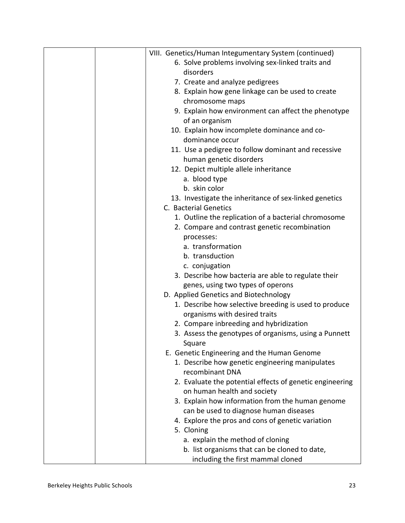| VIII. Genetics/Human Integumentary System (continued)    |
|----------------------------------------------------------|
| 6. Solve problems involving sex-linked traits and        |
| disorders                                                |
| 7. Create and analyze pedigrees                          |
| 8. Explain how gene linkage can be used to create        |
| chromosome maps                                          |
| 9. Explain how environment can affect the phenotype      |
| of an organism                                           |
| 10. Explain how incomplete dominance and co-             |
| dominance occur                                          |
| 11. Use a pedigree to follow dominant and recessive      |
| human genetic disorders                                  |
| 12. Depict multiple allele inheritance                   |
| a. blood type                                            |
| b. skin color                                            |
| 13. Investigate the inheritance of sex-linked genetics   |
| C. Bacterial Genetics                                    |
| 1. Outline the replication of a bacterial chromosome     |
| 2. Compare and contrast genetic recombination            |
| processes:                                               |
| a. transformation                                        |
| b. transduction                                          |
| c. conjugation                                           |
| 3. Describe how bacteria are able to regulate their      |
| genes, using two types of operons                        |
| D. Applied Genetics and Biotechnology                    |
| 1. Describe how selective breeding is used to produce    |
| organisms with desired traits                            |
| 2. Compare inbreeding and hybridization                  |
| 3. Assess the genotypes of organisms, using a Punnett    |
| Square                                                   |
| E. Genetic Engineering and the Human Genome              |
| 1. Describe how genetic engineering manipulates          |
| recombinant DNA                                          |
| 2. Evaluate the potential effects of genetic engineering |
| on human health and society                              |
| 3. Explain how information from the human genome         |
| can be used to diagnose human diseases                   |
| 4. Explore the pros and cons of genetic variation        |
| 5. Cloning                                               |
| a. explain the method of cloning                         |
| b. list organisms that can be cloned to date,            |
| including the first mammal cloned                        |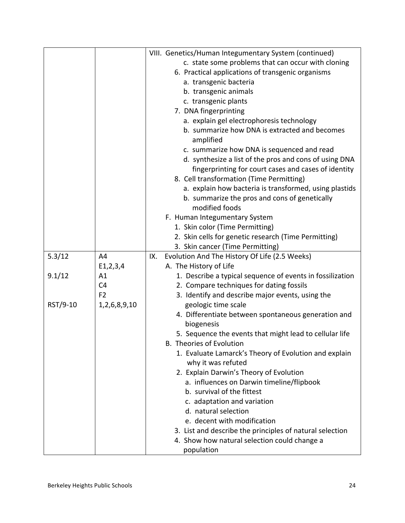|          |                | VIII. Genetics/Human Integumentary System (continued)     |
|----------|----------------|-----------------------------------------------------------|
|          |                | c. state some problems that can occur with cloning        |
|          |                | 6. Practical applications of transgenic organisms         |
|          |                | a. transgenic bacteria                                    |
|          |                | b. transgenic animals                                     |
|          |                | c. transgenic plants                                      |
|          |                | 7. DNA fingerprinting                                     |
|          |                | a. explain gel electrophoresis technology                 |
|          |                | b. summarize how DNA is extracted and becomes             |
|          |                |                                                           |
|          |                | amplified                                                 |
|          |                | c. summarize how DNA is sequenced and read                |
|          |                | d. synthesize a list of the pros and cons of using DNA    |
|          |                | fingerprinting for court cases and cases of identity      |
|          |                | 8. Cell transformation (Time Permitting)                  |
|          |                | a. explain how bacteria is transformed, using plastids    |
|          |                | b. summarize the pros and cons of genetically             |
|          |                | modified foods                                            |
|          |                | F. Human Integumentary System                             |
|          |                | 1. Skin color (Time Permitting)                           |
|          |                | 2. Skin cells for genetic research (Time Permitting)      |
|          |                | 3. Skin cancer (Time Permitting)                          |
| 5.3/12   | A4             | Evolution And The History Of Life (2.5 Weeks)<br>IX.      |
|          | E1, 2, 3, 4    | A. The History of Life                                    |
| 9.1/12   | A1             | 1. Describe a typical sequence of events in fossilization |
|          | C <sub>4</sub> | 2. Compare techniques for dating fossils                  |
|          | F <sub>2</sub> | 3. Identify and describe major events, using the          |
| RST/9-10 | 1,2,6,8,9,10   | geologic time scale                                       |
|          |                | 4. Differentiate between spontaneous generation and       |
|          |                | biogenesis                                                |
|          |                | 5. Sequence the events that might lead to cellular life   |
|          |                | B. Theories of Evolution                                  |
|          |                | 1. Evaluate Lamarck's Theory of Evolution and explain     |
|          |                | why it was refuted                                        |
|          |                | 2. Explain Darwin's Theory of Evolution                   |
|          |                | a. influences on Darwin timeline/flipbook                 |
|          |                | b. survival of the fittest                                |
|          |                | c. adaptation and variation                               |
|          |                | d. natural selection                                      |
|          |                | e. decent with modification                               |
|          |                | 3. List and describe the principles of natural selection  |
|          |                |                                                           |
|          |                | 4. Show how natural selection could change a              |
|          |                | population                                                |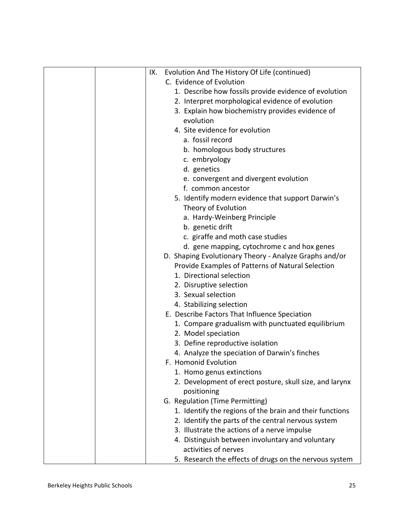| IX. | Evolution And The History Of Life (continued)            |
|-----|----------------------------------------------------------|
|     | C. Evidence of Evolution                                 |
|     | 1. Describe how fossils provide evidence of evolution    |
|     | 2. Interpret morphological evidence of evolution         |
|     | 3. Explain how biochemistry provides evidence of         |
|     | evolution                                                |
|     | 4. Site evidence for evolution                           |
|     | a. fossil record                                         |
|     | b. homologous body structures                            |
|     | c. embryology                                            |
|     | d. genetics                                              |
|     | e. convergent and divergent evolution                    |
|     | f. common ancestor                                       |
|     | 5. Identify modern evidence that support Darwin's        |
|     | Theory of Evolution                                      |
|     | a. Hardy-Weinberg Principle                              |
|     | b. genetic drift                                         |
|     | c. giraffe and moth case studies                         |
|     | d. gene mapping, cytochrome c and hox genes              |
|     | D. Shaping Evolutionary Theory - Analyze Graphs and/or   |
|     | Provide Examples of Patterns of Natural Selection        |
|     | 1. Directional selection                                 |
|     | 2. Disruptive selection                                  |
|     | 3. Sexual selection                                      |
|     | 4. Stabilizing selection                                 |
|     | E. Describe Factors That Influence Speciation            |
|     | 1. Compare gradualism with punctuated equilibrium        |
|     | 2. Model speciation                                      |
|     | 3. Define reproductive isolation                         |
|     | 4. Analyze the speciation of Darwin's finches            |
|     | F. Homonid Evolution                                     |
|     | 1. Homo genus extinctions                                |
|     | 2. Development of erect posture, skull size, and larynx  |
|     | positioning                                              |
|     | G. Regulation (Time Permitting)                          |
|     | 1. Identify the regions of the brain and their functions |
|     |                                                          |
|     | 2. Identify the parts of the central nervous system      |
|     | 3. Illustrate the actions of a nerve impulse             |
|     | 4. Distinguish between involuntary and voluntary         |
|     | activities of nerves                                     |
|     | 5. Research the effects of drugs on the nervous system   |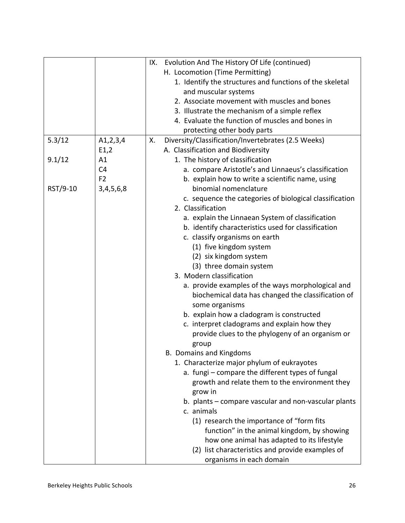|          |                | Evolution And The History Of Life (continued)<br>IX.     |
|----------|----------------|----------------------------------------------------------|
|          |                | H. Locomotion (Time Permitting)                          |
|          |                | 1. Identify the structures and functions of the skeletal |
|          |                | and muscular systems                                     |
|          |                | 2. Associate movement with muscles and bones             |
|          |                | 3. Illustrate the mechanism of a simple reflex           |
|          |                | 4. Evaluate the function of muscles and bones in         |
|          |                | protecting other body parts                              |
| 5.3/12   | A1, 2, 3, 4    | Diversity/Classification/Invertebrates (2.5 Weeks)<br>Х. |
|          | E1,2           | A. Classification and Biodiversity                       |
| 9.1/12   | A1             | 1. The history of classification                         |
|          | C <sub>4</sub> | a. compare Aristotle's and Linnaeus's classification     |
|          | F <sub>2</sub> | b. explain how to write a scientific name, using         |
| RST/9-10 | 3,4,5,6,8      | binomial nomenclature                                    |
|          |                | c. sequence the categories of biological classification  |
|          |                | 2. Classification                                        |
|          |                | a. explain the Linnaean System of classification         |
|          |                | b. identify characteristics used for classification      |
|          |                | c. classify organisms on earth                           |
|          |                | (1) five kingdom system                                  |
|          |                | (2) six kingdom system                                   |
|          |                | (3) three domain system                                  |
|          |                | 3. Modern classification                                 |
|          |                | a. provide examples of the ways morphological and        |
|          |                | biochemical data has changed the classification of       |
|          |                | some organisms                                           |
|          |                | b. explain how a cladogram is constructed                |
|          |                | c. interpret cladograms and explain how they             |
|          |                | provide clues to the phylogeny of an organism or         |
|          |                | group                                                    |
|          |                | <b>B. Domains and Kingdoms</b>                           |
|          |                | 1. Characterize major phylum of eukrayotes               |
|          |                | a. fungi - compare the different types of fungal         |
|          |                | growth and relate them to the environment they           |
|          |                |                                                          |
|          |                | grow in                                                  |
|          |                | b. plants – compare vascular and non-vascular plants     |
|          |                | c. animals                                               |
|          |                | (1) research the importance of "form fits                |
|          |                | function" in the animal kingdom, by showing              |
|          |                | how one animal has adapted to its lifestyle              |
|          |                | (2) list characteristics and provide examples of         |
|          |                | organisms in each domain                                 |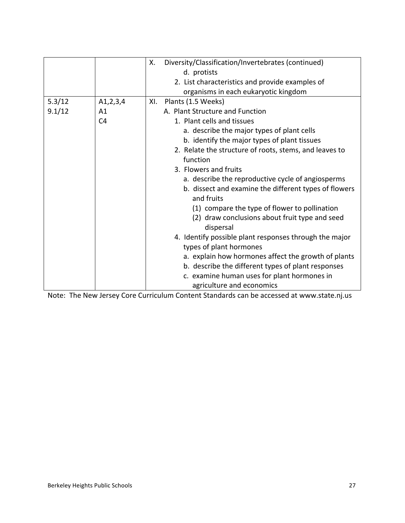|        |                | Diversity/Classification/Invertebrates (continued)<br>Х. |
|--------|----------------|----------------------------------------------------------|
|        |                | d. protists                                              |
|        |                | 2. List characteristics and provide examples of          |
|        |                | organisms in each eukaryotic kingdom                     |
| 5.3/12 | A1, 2, 3, 4    | Plants (1.5 Weeks)<br>XI.                                |
| 9.1/12 | Α1             | A. Plant Structure and Function                          |
|        | C <sub>4</sub> | 1. Plant cells and tissues                               |
|        |                | a. describe the major types of plant cells               |
|        |                | b. identify the major types of plant tissues             |
|        |                | 2. Relate the structure of roots, stems, and leaves to   |
|        |                | function                                                 |
|        |                | 3. Flowers and fruits                                    |
|        |                | a. describe the reproductive cycle of angiosperms        |
|        |                | b. dissect and examine the different types of flowers    |
|        |                | and fruits                                               |
|        |                | (1) compare the type of flower to pollination            |
|        |                | (2) draw conclusions about fruit type and seed           |
|        |                | dispersal                                                |
|        |                | 4. Identify possible plant responses through the major   |
|        |                | types of plant hormones                                  |
|        |                | a. explain how hormones affect the growth of plants      |
|        |                | b. describe the different types of plant responses       |
|        |                | c. examine human uses for plant hormones in              |
|        |                | agriculture and economics                                |

Note: The New Jersey Core Curriculum Content Standards can be accessed at www.state.nj.us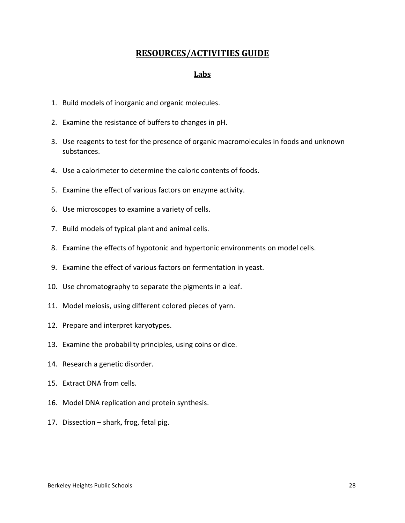## **RESOURCES/ACTIVITIES GUIDE**

#### **Labs**

- 1. Build models of inorganic and organic molecules.
- 2. Examine the resistance of buffers to changes in pH.
- 3. Use reagents to test for the presence of organic macromolecules in foods and unknown substances.
- 4. Use a calorimeter to determine the caloric contents of foods.
- 5. Examine the effect of various factors on enzyme activity.
- 6. Use microscopes to examine a variety of cells.
- 7. Build models of typical plant and animal cells.
- 8. Examine the effects of hypotonic and hypertonic environments on model cells.
- 9. Examine the effect of various factors on fermentation in yeast.
- 10. Use chromatography to separate the pigments in a leaf.
- 11. Model meiosis, using different colored pieces of yarn.
- 12. Prepare and interpret karyotypes.
- 13. Examine the probability principles, using coins or dice.
- 14. Research a genetic disorder.
- 15. Extract DNA from cells.
- 16. Model DNA replication and protein synthesis.
- 17. Dissection  $-$  shark, frog, fetal pig.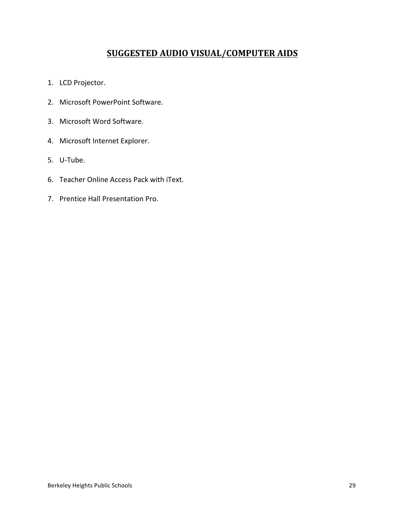## **SUGGESTED AUDIO VISUAL/COMPUTER AIDS**

- 1. LCD Projector.
- 2. Microsoft PowerPoint Software.
- 3. Microsoft Word Software.
- 4. Microsoft Internet Explorer.
- 5. U-Tube.
- 6. Teacher Online Access Pack with iText.
- 7. Prentice Hall Presentation Pro.